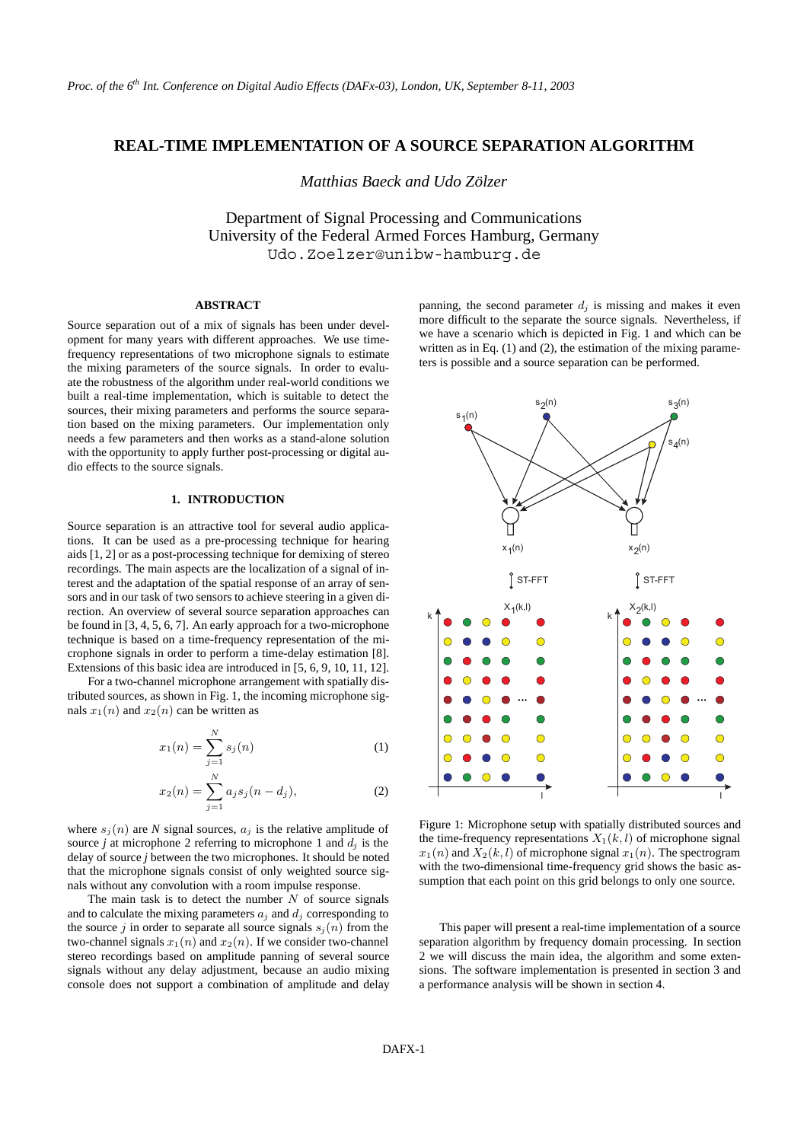# **REAL-TIME IMPLEMENTATION OF A SOURCE SEPARATION ALGORITHM**

*Matthias Baeck and Udo Zolzer ¨*

Department of Signal Processing and Communications University of the Federal Armed Forces Hamburg, Germany Udo.Zoelzer@unibw-hamburg.de

## **ABSTRACT**

Source separation out of a mix of signals has been under development for many years with different approaches. We use timefrequency representations of two microphone signals to estimate the mixing parameters of the source signals. In order to evaluate the robustness of the algorithm under real-world conditions we built a real-time implementation, which is suitable to detect the sources, their mixing parameters and performs the source separation based on the mixing parameters. Our implementation only needs a few parameters and then works as a stand-alone solution with the opportunity to apply further post-processing or digital audio effects to the source signals.

## **1. INTRODUCTION**

Source separation is an attractive tool for several audio applications. It can be used as a pre-processing technique for hearing aids [1, 2] or as a post-processing technique for demixing of stereo recordings. The main aspects are the localization of a signal of interest and the adaptation of the spatial response of an array of sensors and in our task of two sensors to achieve steering in a given direction. An overview of several source separation approaches can be found in [3, 4, 5, 6, 7]. An early approach for a two-microphone technique is based on a time-frequency representation of the microphone signals in order to perform a time-delay estimation [8]. Extensions of this basic idea are introduced in [5, 6, 9, 10, 11, 12].

For a two-channel microphone arrangement with spatially distributed sources, as shown in Fig. 1, the incoming microphone signals  $x_1(n)$  and  $x_2(n)$  can be written as

$$
x_1(n) = \sum_{j=1}^{N} s_j(n) \tag{1}
$$

$$
x_2(n) = \sum_{j=1}^{N} a_j s_j(n - d_j),
$$
 (2)

where  $s_i(n)$  are *N* signal sources,  $a_i$  is the relative amplitude of source *j* at microphone 2 referring to microphone 1 and  $d_i$  is the delay of source *j* between the two microphones. It should be noted that the microphone signals consist of only weighted source signals without any convolution with a room impulse response.

The main task is to detect the number  $N$  of source signals and to calculate the mixing parameters  $a_i$  and  $d_i$  corresponding to the source j in order to separate all source signals  $s_i(n)$  from the two-channel signals  $x_1(n)$  and  $x_2(n)$ . If we consider two-channel stereo recordings based on amplitude panning of several source signals without any delay adjustment, because an audio mixing console does not support a combination of amplitude and delay

panning, the second parameter  $d_i$  is missing and makes it even more difficult to the separate the source signals. Nevertheless, if we have a scenario which is depicted in Fig. 1 and which can be written as in Eq. (1) and (2), the estimation of the mixing parameters is possible and a source separation can be performed.



Figure 1: Microphone setup with spatially distributed sources and the time-frequency representations  $X_1(k, l)$  of microphone signal  $x_1(n)$  and  $X_2(k, l)$  of microphone signal  $x_1(n)$ . The spectrogram with the two-dimensional time-frequency grid shows the basic assumption that each point on this grid belongs to only one source.

This paper will present a real-time implementation of a source separation algorithm by frequency domain processing. In section 2 we will discuss the main idea, the algorithm and some extensions. The software implementation is presented in section 3 and a performance analysis will be shown in section 4.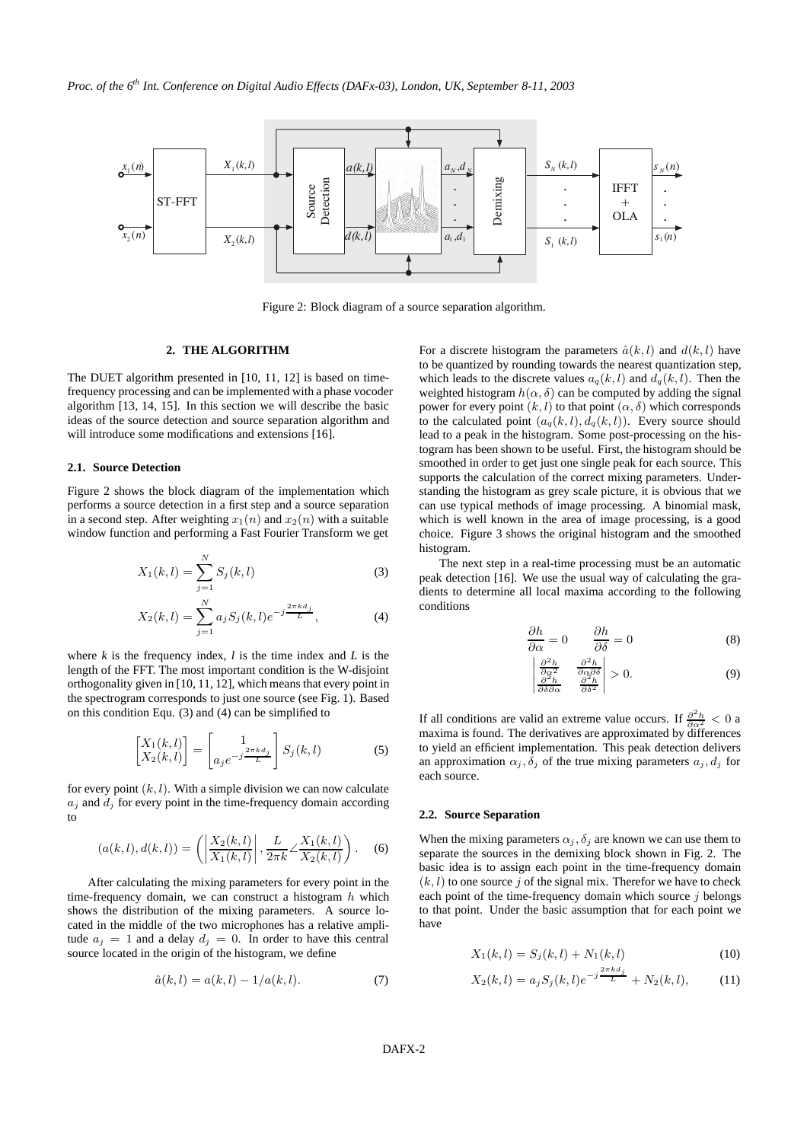

Figure 2: Block diagram of a source separation algorithm.

## **2. THE ALGORITHM**

The DUET algorithm presented in [10, 11, 12] is based on timefrequency processing and can be implemented with a phase vocoder algorithm [13, 14, 15]. In this section we will describe the basic ideas of the source detection and source separation algorithm and will introduce some modifications and extensions [16].

#### **2.1. Source Detection**

Figure 2 shows the block diagram of the implementation which performs a source detection in a first step and a source separation in a second step. After weighting  $x_1(n)$  and  $x_2(n)$  with a suitable window function and performing a Fast Fourier Transform we get

$$
X_1(k,l) = \sum_{j=1}^{N} S_j(k,l)
$$
 (3)

$$
X_2(k,l) = \sum_{j=1}^{N} a_j S_j(k,l) e^{-j\frac{2\pi k d_j}{L}}, \tag{4}
$$

where  $k$  is the frequency index,  $l$  is the time index and  $L$  is the length of the FFT. The most important condition is the W-disjoint orthogonality given in [10, 11, 12], which means that every point in the spectrogram corresponds to just one source (see Fig. 1). Based on this condition Equ. (3) and (4) can be simplified to

$$
\begin{bmatrix} X_1(k,l) \\ X_2(k,l) \end{bmatrix} = \begin{bmatrix} 1 \\ a_j e^{-j\frac{2\pi k d_j}{L}} \end{bmatrix} S_j(k,l) \tag{5}
$$

for every point  $(k, l)$ . With a simple division we can now calculate  $a_j$  and  $d_j$  for every point in the time-frequency domain according to

$$
(a(k,l), d(k,l)) = \left( \left| \frac{X_2(k,l)}{X_1(k,l)} \right|, \frac{L}{2\pi k} \angle \frac{X_1(k,l)}{X_2(k,l)} \right). \tag{6}
$$

After calculating the mixing parameters for every point in the time-frequency domain, we can construct a histogram  $h$  which shows the distribution of the mixing parameters. A source located in the middle of the two microphones has a relative amplitude  $a_j = 1$  and a delay  $d_j = 0$ . In order to have this central source located in the origin of the histogram, we define

$$
\hat{a}(k,l) = a(k,l) - 1/a(k,l). \tag{7}
$$

For a discrete histogram the parameters  $\hat{a}(k, l)$  and  $d(k, l)$  have to be quantized by rounding towards the nearest quantization step, which leads to the discrete values  $a_q(k, l)$  and  $d_q(k, l)$ . Then the weighted histogram  $h(\alpha, \delta)$  can be computed by adding the signal power for every point  $(k, l)$  to that point  $(\alpha, \delta)$  which corresponds to the calculated point  $(a_q(k, l), d_q(k, l))$ . Every source should lead to a peak in the histogram. Some post-processing on the histogram has been shown to be useful. First, the histogram should be smoothed in order to get just one single peak for each source. This supports the calculation of the correct mixing parameters. Understanding the histogram as grey scale picture, it is obvious that we can use typical methods of image processing. A binomial mask, which is well known in the area of image processing, is a good choice. Figure 3 shows the original histogram and the smoothed histogram.

The next step in a real-time processing must be an automatic peak detection [16]. We use the usual way of calculating the gradients to determine all local maxima according to the following conditions

$$
\frac{\partial h}{\partial \alpha} = 0 \qquad \frac{\partial h}{\partial \delta} = 0 \tag{8}
$$
\n
$$
\frac{\partial^2 h}{\partial \delta^2} = 0
$$

$$
\begin{vmatrix} \frac{\partial^2 h}{\partial \alpha^2} & \frac{\partial^2 h}{\partial \alpha \partial \delta} \\ \frac{\partial^2 h}{\partial \delta \partial \alpha} & \frac{\partial^2 h}{\partial \delta^2} \end{vmatrix} > 0.
$$
 (9)

If all conditions are valid an extreme value occurs. If  $\frac{\partial^2 h}{\partial \alpha^2} < 0$  a maxima is found. The derivatives are approximated by differences to yield an efficient implementation. This peak detection delivers an approximation  $\alpha_j, \delta_j$  of the true mixing parameters  $a_j, d_j$  for each source.

## **2.2. Source Separation**

When the mixing parameters  $\alpha_j$ ,  $\delta_j$  are known we can use them to separate the sources in the demixing block shown in Fig. 2. The basic idea is to assign each point in the time-frequency domain  $(k, l)$  to one source j of the signal mix. Therefor we have to check each point of the time-frequency domain which source  $j$  belongs to that point. Under the basic assumption that for each point we have

$$
X_1(k,l) = S_j(k,l) + N_1(k,l)
$$
\n(10)

$$
X_2(k,l) = a_j S_j(k,l)e^{-j\frac{2\pi kd_j}{L}} + N_2(k,l),
$$
 (11)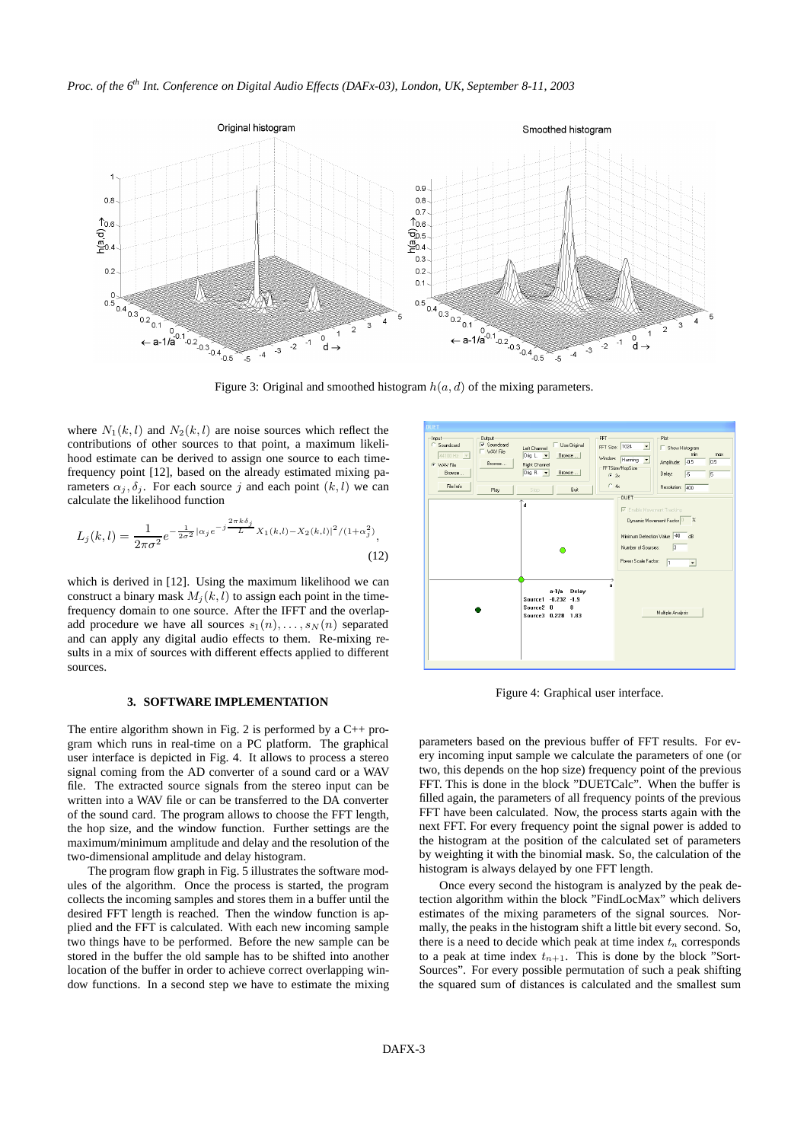

where  $N_1(k, l)$  and  $N_2(k, l)$  are noise sources which reflect the contributions of other sources to that point, a maximum likelihood estimate can be derived to assign one source to each timefrequency point [12], based on the already estimated mixing parameters  $\alpha_i, \delta_i$ . For each source j and each point  $(k, l)$  we can calculate the likelihood function

$$
L_j(k,l) = \frac{1}{2\pi\sigma^2} e^{-\frac{1}{2\sigma^2}|\alpha_j e^{-j\frac{2\pi k\delta_j}{L}}X_1(k,l) - X_2(k,l)|^2/(1+\alpha_j^2)},
$$
\n(12)

which is derived in [12]. Using the maximum likelihood we can construct a binary mask  $M_i(k, l)$  to assign each point in the timefrequency domain to one source. After the IFFT and the overlapadd procedure we have all sources  $s_1(n), \ldots, s_N(n)$  separated and can apply any digital audio effects to them. Re-mixing results in a mix of sources with different effects applied to different sources.

## **3. SOFTWARE IMPLEMENTATION**

The entire algorithm shown in Fig. 2 is performed by a  $C_{++}$  program which runs in real-time on a PC platform. The graphical user interface is depicted in Fig. 4. It allows to process a stereo signal coming from the AD converter of a sound card or a WAV file. The extracted source signals from the stereo input can be written into a WAV file or can be transferred to the DA converter of the sound card. The program allows to choose the FFT length, the hop size, and the window function. Further settings are the maximum/minimum amplitude and delay and the resolution of the two-dimensional amplitude and delay histogram.

The program flow graph in Fig. 5 illustrates the software modules of the algorithm. Once the process is started, the program collects the incoming samples and stores them in a buffer until the desired FFT length is reached. Then the window function is applied and the FFT is calculated. With each new incoming sample two things have to be performed. Before the new sample can be stored in the buffer the old sample has to be shifted into another location of the buffer in order to achieve correct overlapping window functions. In a second step we have to estimate the mixing



Figure 4: Graphical user interface.

parameters based on the previous buffer of FFT results. For every incoming input sample we calculate the parameters of one (or two, this depends on the hop size) frequency point of the previous FFT. This is done in the block "DUETCalc". When the buffer is filled again, the parameters of all frequency points of the previous FFT have been calculated. Now, the process starts again with the next FFT. For every frequency point the signal power is added to the histogram at the position of the calculated set of parameters by weighting it with the binomial mask. So, the calculation of the histogram is always delayed by one FFT length.

Once every second the histogram is analyzed by the peak detection algorithm within the block "FindLocMax" which delivers estimates of the mixing parameters of the signal sources. Normally, the peaks in the histogram shift a little bit every second. So, there is a need to decide which peak at time index  $t_n$  corresponds to a peak at time index  $t_{n+1}$ . This is done by the block "Sort-Sources". For every possible permutation of such a peak shifting the squared sum of distances is calculated and the smallest sum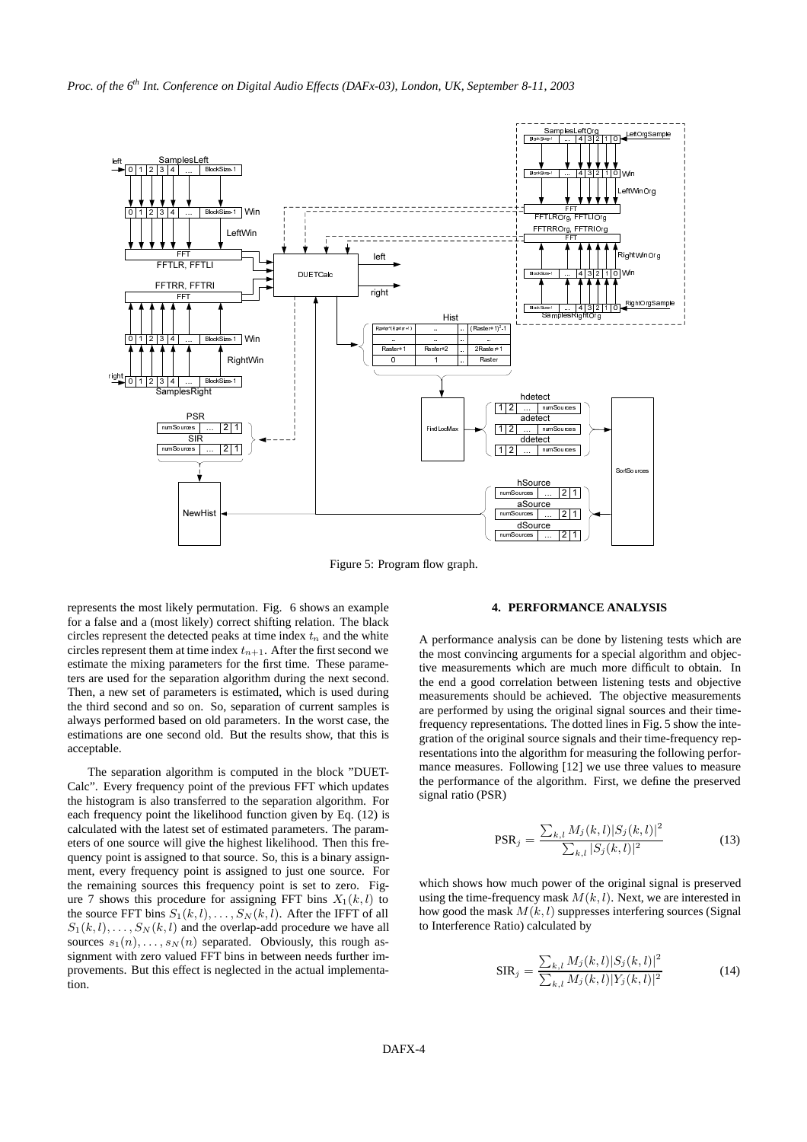

Figure 5: Program flow graph.

represents the most likely permutation. Fig. 6 shows an example for a false and a (most likely) correct shifting relation. The black circles represent the detected peaks at time index  $t_n$  and the white circles represent them at time index  $t_{n+1}$ . After the first second we estimate the mixing parameters for the first time. These parameters are used for the separation algorithm during the next second. Then, a new set of parameters is estimated, which is used during the third second and so on. So, separation of current samples is always performed based on old parameters. In the worst case, the estimations are one second old. But the results show, that this is acceptable.

The separation algorithm is computed in the block "DUET-Calc". Every frequency point of the previous FFT which updates the histogram is also transferred to the separation algorithm. For each frequency point the likelihood function given by Eq. (12) is calculated with the latest set of estimated parameters. The parameters of one source will give the highest likelihood. Then this frequency point is assigned to that source. So, this is a binary assignment, every frequency point is assigned to just one source. For the remaining sources this frequency point is set to zero. Figure 7 shows this procedure for assigning FFT bins  $X_1(k, l)$  to the source FFT bins  $S_1(k, l), \ldots, S_N(k, l)$ . After the IFFT of all  $S_1(k, l), \ldots, S_N(k, l)$  and the overlap-add procedure we have all sources  $s_1(n),\ldots,s_N(n)$  separated. Obviously, this rough assignment with zero valued FFT bins in between needs further improvements. But this effect is neglected in the actual implementation.

#### **4. PERFORMANCE ANALYSIS**

A performance analysis can be done by listening tests which are the most convincing arguments for a special algorithm and objective measurements which are much more difficult to obtain. In the end a good correlation between listening tests and objective measurements should be achieved. The objective measurements are performed by using the original signal sources and their timefrequency representations. The dotted lines in Fig. 5 show the integration of the original source signals and their time-frequency representations into the algorithm for measuring the following performance measures. Following [12] we use three values to measure the performance of the algorithm. First, we define the preserved signal ratio (PSR)

$$
\text{PSR}_{j} = \frac{\sum_{k,l} M_{j}(k,l)|S_{j}(k,l)|^{2}}{\sum_{k,l}|S_{j}(k,l)|^{2}}
$$
(13)

which shows how much power of the original signal is preserved using the time-frequency mask  $M(k, l)$ . Next, we are interested in how good the mask  $M(k, l)$  suppresses interfering sources (Signal to Interference Ratio) calculated by

$$
SIR_j = \frac{\sum_{k,l} M_j(k,l)|S_j(k,l)|^2}{\sum_{k,l} M_j(k,l)|Y_j(k,l)|^2}
$$
(14)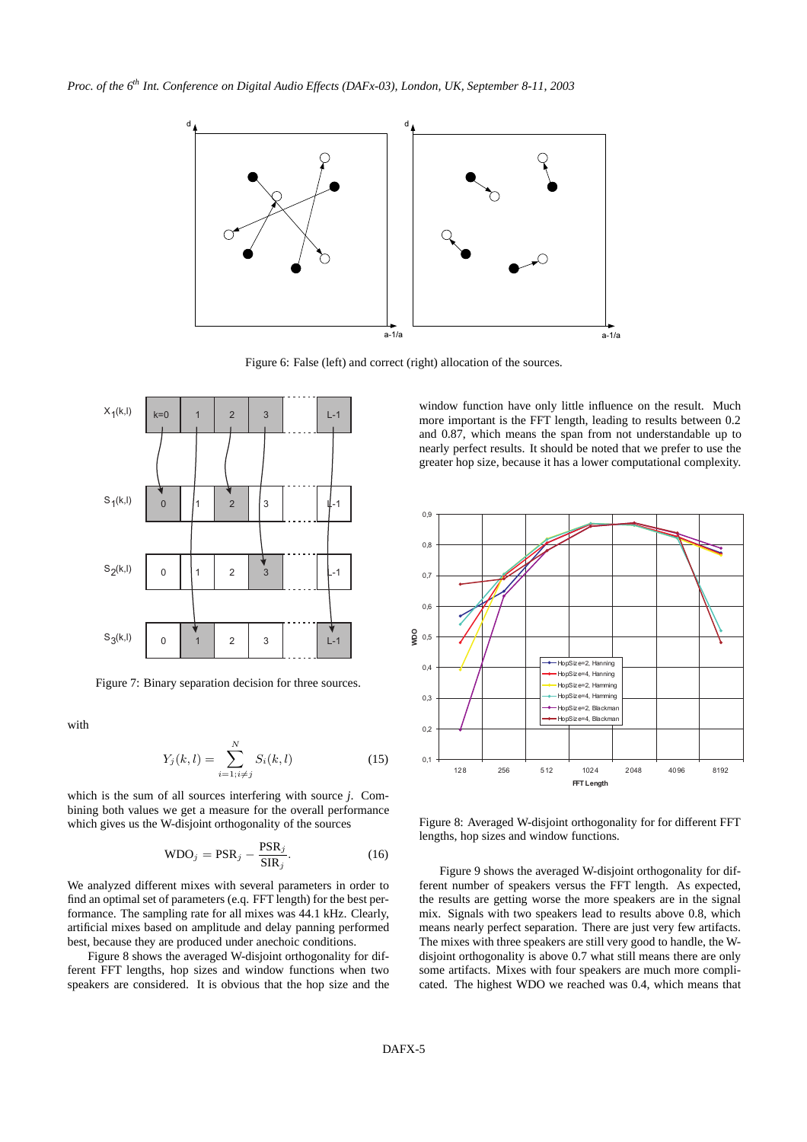

Figure 6: False (left) and correct (right) allocation of the sources.



Figure 7: Binary separation decision for three sources.

with

$$
Y_j(k, l) = \sum_{i=1; i \neq j}^{N} S_i(k, l)
$$
 (15)

which is the sum of all sources interfering with source *j*. Combining both values we get a measure for the overall performance which gives us the W-disjoint orthogonality of the sources

$$
WDOj = PSRj - \frac{PSRj}{SIRj}.
$$
 (16)

We analyzed different mixes with several parameters in order to find an optimal set of parameters (e.q. FFT length) for the best performance. The sampling rate for all mixes was 44.1 kHz. Clearly, artificial mixes based on amplitude and delay panning performed best, because they are produced under anechoic conditions.

Figure 8 shows the averaged W-disjoint orthogonality for different FFT lengths, hop sizes and window functions when two speakers are considered. It is obvious that the hop size and the window function have only little influence on the result. Much more important is the FFT length, leading to results between 0.2 and 0.87, which means the span from not understandable up to nearly perfect results. It should be noted that we prefer to use the greater hop size, because it has a lower computational complexity.



Figure 8: Averaged W-disjoint orthogonality for for different FFT lengths, hop sizes and window functions.

Figure 9 shows the averaged W-disjoint orthogonality for different number of speakers versus the FFT length. As expected, the results are getting worse the more speakers are in the signal mix. Signals with two speakers lead to results above 0.8, which means nearly perfect separation. There are just very few artifacts. The mixes with three speakers are still very good to handle, the Wdisjoint orthogonality is above 0.7 what still means there are only some artifacts. Mixes with four speakers are much more complicated. The highest WDO we reached was 0.4, which means that